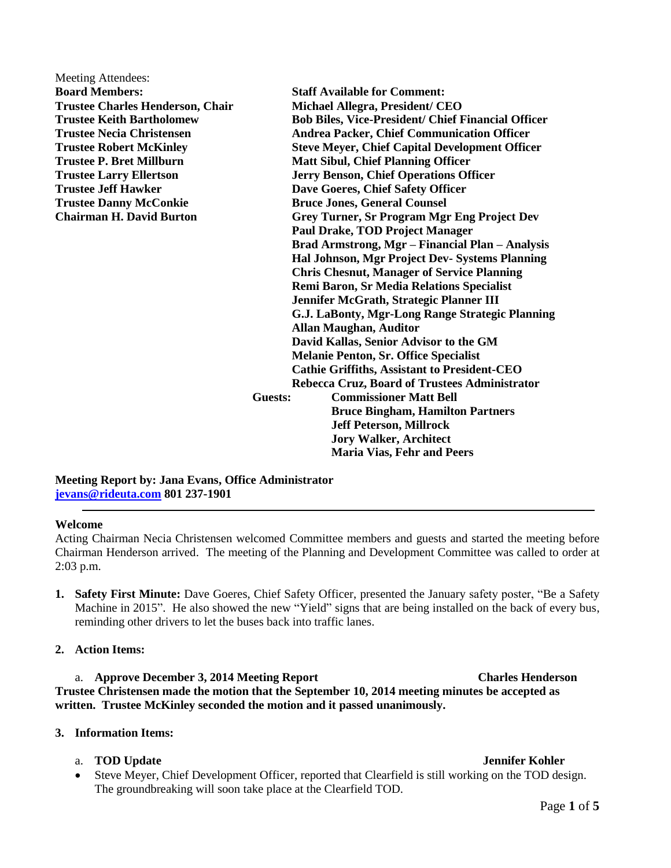| Meeting Attendees:                      |                                                           |
|-----------------------------------------|-----------------------------------------------------------|
| <b>Board Members:</b>                   | <b>Staff Available for Comment:</b>                       |
| <b>Trustee Charles Henderson, Chair</b> | Michael Allegra, President/ CEO                           |
| <b>Trustee Keith Bartholomew</b>        | <b>Bob Biles, Vice-President/ Chief Financial Officer</b> |
| <b>Trustee Necia Christensen</b>        | <b>Andrea Packer, Chief Communication Officer</b>         |
| <b>Trustee Robert McKinley</b>          | <b>Steve Meyer, Chief Capital Development Officer</b>     |
| <b>Trustee P. Bret Millburn</b>         | <b>Matt Sibul, Chief Planning Officer</b>                 |
| <b>Trustee Larry Ellertson</b>          | <b>Jerry Benson, Chief Operations Officer</b>             |
| <b>Trustee Jeff Hawker</b>              | Dave Goeres, Chief Safety Officer                         |
| <b>Trustee Danny McConkie</b>           | <b>Bruce Jones, General Counsel</b>                       |
| <b>Chairman H. David Burton</b>         | Grey Turner, Sr Program Mgr Eng Project Dev               |
|                                         | <b>Paul Drake, TOD Project Manager</b>                    |
|                                         | Brad Armstrong, Mgr - Financial Plan - Analysis           |
|                                         | Hal Johnson, Mgr Project Dev- Systems Planning            |
|                                         | <b>Chris Chesnut, Manager of Service Planning</b>         |
|                                         | Remi Baron, Sr Media Relations Specialist                 |
|                                         | Jennifer McGrath, Strategic Planner III                   |
|                                         | G.J. LaBonty, Mgr-Long Range Strategic Planning           |
|                                         | <b>Allan Maughan, Auditor</b>                             |
|                                         | David Kallas, Senior Advisor to the GM                    |
|                                         | <b>Melanie Penton, Sr. Office Specialist</b>              |
|                                         | <b>Cathie Griffiths, Assistant to President-CEO</b>       |
| Guests:                                 | Rebecca Cruz, Board of Trustees Administrator             |
|                                         | <b>Commissioner Matt Bell</b>                             |
|                                         | <b>Bruce Bingham, Hamilton Partners</b>                   |
|                                         | <b>Jeff Peterson, Millrock</b>                            |
|                                         | <b>Jory Walker, Architect</b>                             |
|                                         | <b>Maria Vias, Fehr and Peers</b>                         |

**Meeting Report by: Jana Evans, Office Administrator [jevans@rideuta.com](mailto:jevans@rideuta.com) 801 237-1901**

### **Welcome**

Acting Chairman Necia Christensen welcomed Committee members and guests and started the meeting before Chairman Henderson arrived. The meeting of the Planning and Development Committee was called to order at 2:03 p.m.

**1. Safety First Minute:** Dave Goeres, Chief Safety Officer, presented the January safety poster, "Be a Safety Machine in 2015". He also showed the new "Yield" signs that are being installed on the back of every bus, reminding other drivers to let the buses back into traffic lanes.

### **2. Action Items:**

a. **Approve December 3, 2014 Meeting Report Charles Henderson Trustee Christensen made the motion that the September 10, 2014 meeting minutes be accepted as written. Trustee McKinley seconded the motion and it passed unanimously.**

### **3. Information Items:**

### a. **TOD Update Jennifer Kohler**

 Steve Meyer, Chief Development Officer, reported that Clearfield is still working on the TOD design. The groundbreaking will soon take place at the Clearfield TOD.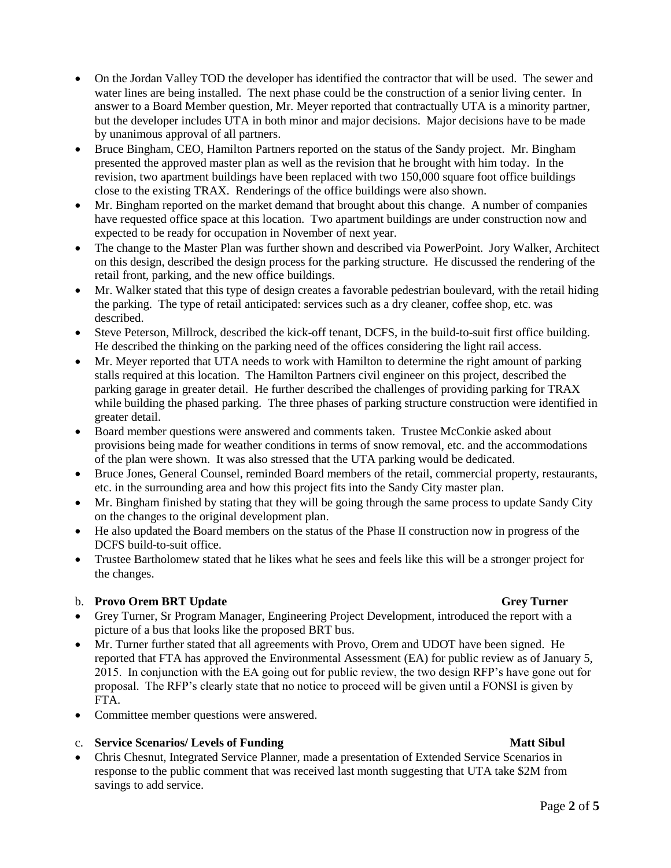- On the Jordan Valley TOD the developer has identified the contractor that will be used. The sewer and water lines are being installed. The next phase could be the construction of a senior living center. In answer to a Board Member question, Mr. Meyer reported that contractually UTA is a minority partner, but the developer includes UTA in both minor and major decisions. Major decisions have to be made by unanimous approval of all partners.
- Bruce Bingham, CEO, Hamilton Partners reported on the status of the Sandy project. Mr. Bingham presented the approved master plan as well as the revision that he brought with him today. In the revision, two apartment buildings have been replaced with two 150,000 square foot office buildings close to the existing TRAX. Renderings of the office buildings were also shown.
- Mr. Bingham reported on the market demand that brought about this change. A number of companies have requested office space at this location. Two apartment buildings are under construction now and expected to be ready for occupation in November of next year.
- The change to the Master Plan was further shown and described via PowerPoint. Jory Walker, Architect on this design, described the design process for the parking structure. He discussed the rendering of the retail front, parking, and the new office buildings.
- Mr. Walker stated that this type of design creates a favorable pedestrian boulevard, with the retail hiding the parking. The type of retail anticipated: services such as a dry cleaner, coffee shop, etc. was described.
- Steve Peterson, Millrock, described the kick-off tenant, DCFS, in the build-to-suit first office building. He described the thinking on the parking need of the offices considering the light rail access.
- Mr. Meyer reported that UTA needs to work with Hamilton to determine the right amount of parking stalls required at this location. The Hamilton Partners civil engineer on this project, described the parking garage in greater detail. He further described the challenges of providing parking for TRAX while building the phased parking. The three phases of parking structure construction were identified in greater detail.
- Board member questions were answered and comments taken. Trustee McConkie asked about provisions being made for weather conditions in terms of snow removal, etc. and the accommodations of the plan were shown. It was also stressed that the UTA parking would be dedicated.
- Bruce Jones, General Counsel, reminded Board members of the retail, commercial property, restaurants, etc. in the surrounding area and how this project fits into the Sandy City master plan.
- Mr. Bingham finished by stating that they will be going through the same process to update Sandy City on the changes to the original development plan.
- He also updated the Board members on the status of the Phase II construction now in progress of the DCFS build-to-suit office.
- Trustee Bartholomew stated that he likes what he sees and feels like this will be a stronger project for the changes.

# b. **Provo Orem BRT Update** Grey Turner Grey Turner

- Grey Turner, Sr Program Manager, Engineering Project Development, introduced the report with a picture of a bus that looks like the proposed BRT bus.
- Mr. Turner further stated that all agreements with Provo, Orem and UDOT have been signed. He reported that FTA has approved the Environmental Assessment (EA) for public review as of January 5, 2015. In conjunction with the EA going out for public review, the two design RFP's have gone out for proposal. The RFP's clearly state that no notice to proceed will be given until a FONSI is given by FTA.
- Committee member questions were answered.

# c. **Service Scenarios/ Levels of Funding Service Scenarios And Act Sibul**

 Chris Chesnut, Integrated Service Planner, made a presentation of Extended Service Scenarios in response to the public comment that was received last month suggesting that UTA take \$2M from savings to add service.

# Page **2** of **5**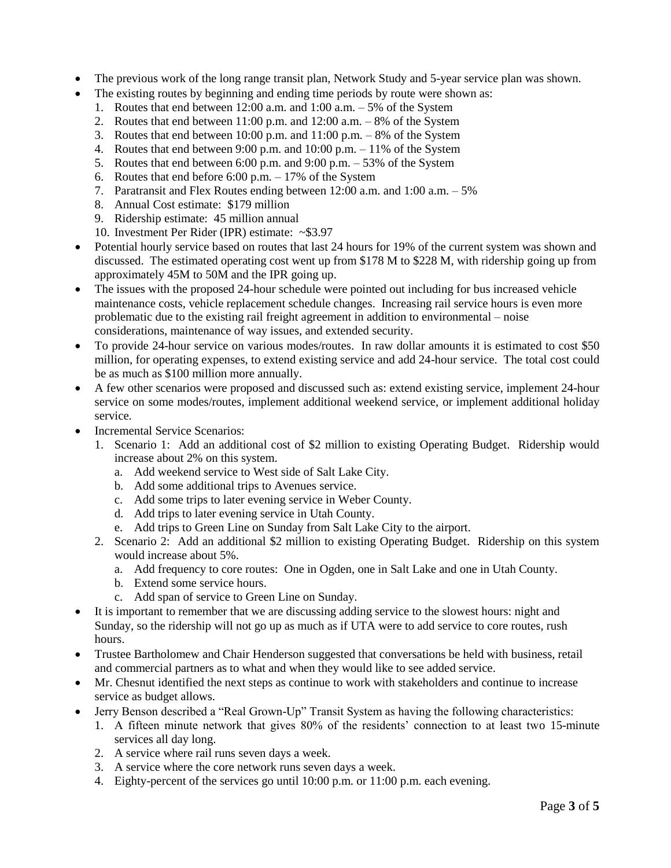- The previous work of the long range transit plan, Network Study and 5-year service plan was shown.
- The existing routes by beginning and ending time periods by route were shown as:
	- 1. Routes that end between 12:00 a.m. and 1:00 a.m. 5% of the System
	- 2. Routes that end between  $11:00$  p.m. and  $12:00$  a.m.  $-8\%$  of the System
	- 3. Routes that end between 10:00 p.m. and 11:00 p.m. 8% of the System
	- 4. Routes that end between 9:00 p.m. and 10:00 p.m. 11% of the System
	- 5. Routes that end between 6:00 p.m. and 9:00 p.m. 53% of the System
	- 6. Routes that end before  $6:00$  p.m.  $-17\%$  of the System
	- 7. Paratransit and Flex Routes ending between 12:00 a.m. and 1:00 a.m. 5%
	- 8. Annual Cost estimate: \$179 million
	- 9. Ridership estimate: 45 million annual
	- 10. Investment Per Rider (IPR) estimate: ~\$3.97
- Potential hourly service based on routes that last 24 hours for 19% of the current system was shown and discussed. The estimated operating cost went up from \$178 M to \$228 M, with ridership going up from approximately 45M to 50M and the IPR going up.
- The issues with the proposed 24-hour schedule were pointed out including for bus increased vehicle maintenance costs, vehicle replacement schedule changes. Increasing rail service hours is even more problematic due to the existing rail freight agreement in addition to environmental – noise considerations, maintenance of way issues, and extended security.
- To provide 24-hour service on various modes/routes. In raw dollar amounts it is estimated to cost \$50 million, for operating expenses, to extend existing service and add 24-hour service. The total cost could be as much as \$100 million more annually.
- A few other scenarios were proposed and discussed such as: extend existing service, implement 24-hour service on some modes/routes, implement additional weekend service, or implement additional holiday service.
- Incremental Service Scenarios:
	- 1. Scenario 1: Add an additional cost of \$2 million to existing Operating Budget. Ridership would increase about 2% on this system.
		- a. Add weekend service to West side of Salt Lake City.
		- b. Add some additional trips to Avenues service.
		- c. Add some trips to later evening service in Weber County.
		- d. Add trips to later evening service in Utah County.
		- e. Add trips to Green Line on Sunday from Salt Lake City to the airport.
	- 2. Scenario 2: Add an additional \$2 million to existing Operating Budget. Ridership on this system would increase about 5%.
		- a. Add frequency to core routes: One in Ogden, one in Salt Lake and one in Utah County.
		- b. Extend some service hours.
		- c. Add span of service to Green Line on Sunday.
- It is important to remember that we are discussing adding service to the slowest hours: night and Sunday, so the ridership will not go up as much as if UTA were to add service to core routes, rush hours.
- Trustee Bartholomew and Chair Henderson suggested that conversations be held with business, retail and commercial partners as to what and when they would like to see added service.
- Mr. Chesnut identified the next steps as continue to work with stakeholders and continue to increase service as budget allows.
- Jerry Benson described a "Real Grown-Up" Transit System as having the following characteristics:
	- 1. A fifteen minute network that gives 80% of the residents' connection to at least two 15-minute services all day long.
	- 2. A service where rail runs seven days a week.
	- 3. A service where the core network runs seven days a week.
	- 4. Eighty-percent of the services go until 10:00 p.m. or 11:00 p.m. each evening.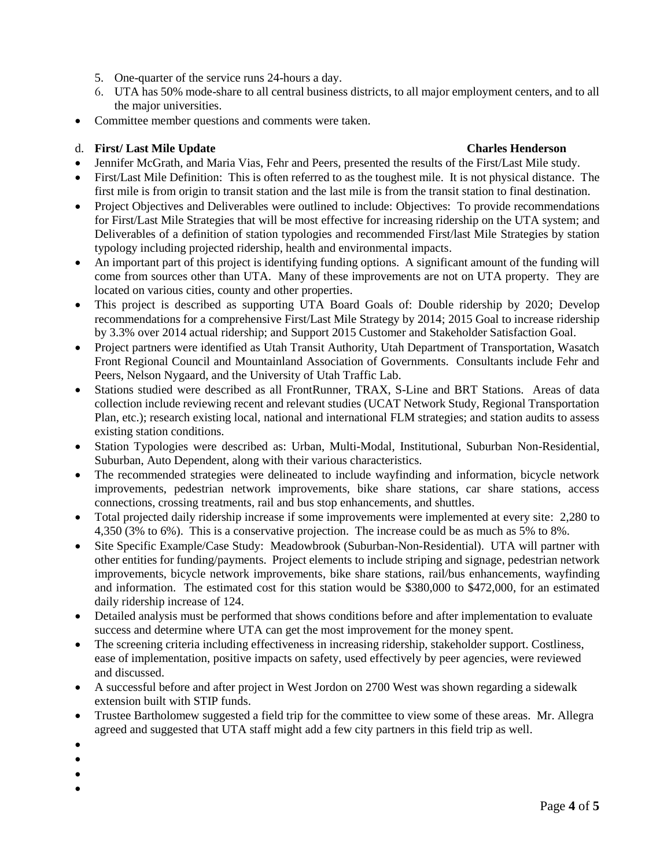- 5. One-quarter of the service runs 24-hours a day.
- 6. UTA has 50% mode-share to all central business districts, to all major employment centers, and to all the major universities.
- Committee member questions and comments were taken.

## d. **First/ Last Mile Update Charles Henderson**

- Jennifer McGrath, and Maria Vias, Fehr and Peers, presented the results of the First/Last Mile study.
- First/Last Mile Definition: This is often referred to as the toughest mile. It is not physical distance. The first mile is from origin to transit station and the last mile is from the transit station to final destination.
- Project Objectives and Deliverables were outlined to include: Objectives: To provide recommendations for First/Last Mile Strategies that will be most effective for increasing ridership on the UTA system; and Deliverables of a definition of station typologies and recommended First/last Mile Strategies by station typology including projected ridership, health and environmental impacts.
- An important part of this project is identifying funding options. A significant amount of the funding will come from sources other than UTA. Many of these improvements are not on UTA property. They are located on various cities, county and other properties.
- This project is described as supporting UTA Board Goals of: Double ridership by 2020; Develop recommendations for a comprehensive First/Last Mile Strategy by 2014; 2015 Goal to increase ridership by 3.3% over 2014 actual ridership; and Support 2015 Customer and Stakeholder Satisfaction Goal.
- Project partners were identified as Utah Transit Authority, Utah Department of Transportation, Wasatch Front Regional Council and Mountainland Association of Governments. Consultants include Fehr and Peers, Nelson Nygaard, and the University of Utah Traffic Lab.
- Stations studied were described as all FrontRunner, TRAX, S-Line and BRT Stations. Areas of data collection include reviewing recent and relevant studies (UCAT Network Study, Regional Transportation Plan, etc.); research existing local, national and international FLM strategies; and station audits to assess existing station conditions.
- Station Typologies were described as: Urban, Multi-Modal, Institutional, Suburban Non-Residential, Suburban, Auto Dependent, along with their various characteristics.
- The recommended strategies were delineated to include wayfinding and information, bicycle network improvements, pedestrian network improvements, bike share stations, car share stations, access connections, crossing treatments, rail and bus stop enhancements, and shuttles.
- Total projected daily ridership increase if some improvements were implemented at every site: 2,280 to 4,350 (3% to 6%). This is a conservative projection. The increase could be as much as 5% to 8%.
- Site Specific Example/Case Study: Meadowbrook (Suburban-Non-Residential). UTA will partner with other entities for funding/payments. Project elements to include striping and signage, pedestrian network improvements, bicycle network improvements, bike share stations, rail/bus enhancements, wayfinding and information. The estimated cost for this station would be \$380,000 to \$472,000, for an estimated daily ridership increase of 124.
- Detailed analysis must be performed that shows conditions before and after implementation to evaluate success and determine where UTA can get the most improvement for the money spent.
- The screening criteria including effectiveness in increasing ridership, stakeholder support. Costliness, ease of implementation, positive impacts on safety, used effectively by peer agencies, were reviewed and discussed.
- A successful before and after project in West Jordon on 2700 West was shown regarding a sidewalk extension built with STIP funds.
- Trustee Bartholomew suggested a field trip for the committee to view some of these areas. Mr. Allegra agreed and suggested that UTA staff might add a few city partners in this field trip as well.
- $\bullet$
- $\bullet$
- $\bullet$
- $\bullet$